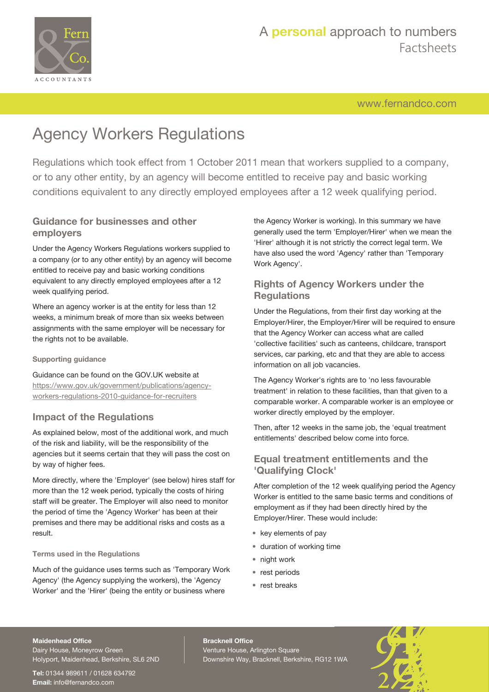

[www.fernandco.com](http://www.fernandco.com)

# Agency Workers Regulations

Regulations which took effect from 1 October 2011 mean that workers supplied to a company, or to any other entity, by an agency will become entitled to receive pay and basic working conditions equivalent to any directly employed employees after a 12 week qualifying period.

### **Guidance for businesses and other employers**

Under the Agency Workers Regulations workers supplied to a company (or to any other entity) by an agency will become entitled to receive pay and basic working conditions equivalent to any directly employed employees after a 12 week qualifying period.

Where an agency worker is at the entity for less than 12 weeks, a minimum break of more than six weeks between assignments with the same employer will be necessary for the rights not to be available.

#### **Supporting guidance**

Guidance can be found on the GOV.UK website at

[https://www.gov.uk/government/publications/agency](https://www.gov.uk/government/publications/agency-workers-regulations-2010-guidance-for-recruiters)[workers-regulations-2010-guidance-for-recruiters](https://www.gov.uk/government/publications/agency-workers-regulations-2010-guidance-for-recruiters)

### **Impact of the Regulations**

As explained below, most of the additional work, and much of the risk and liability, will be the responsibility of the agencies but it seems certain that they will pass the cost on by way of higher fees.

More directly, where the 'Employer' (see below) hires staff for more than the 12 week period, typically the costs of hiring staff will be greater. The Employer will also need to monitor the period of time the 'Agency Worker' has been at their premises and there may be additional risks and costs as a result.

#### **Terms used in the Regulations**

Much of the guidance uses terms such as 'Temporary Work Agency' (the Agency supplying the workers), the 'Agency Worker' and the 'Hirer' (being the entity or business where

the Agency Worker is working). In this summary we have generally used the term 'Employer/Hirer' when we mean the 'Hirer' although it is not strictly the correct legal term. We have also used the word 'Agency' rather than 'Temporary Work Agency'.

### **Rights of Agency Workers under the Regulations**

Under the Regulations, from their first day working at the Employer/Hirer, the Employer/Hirer will be required to ensure that the Agency Worker can access what are called 'collective facilities' such as canteens, childcare, transport services, car parking, etc and that they are able to access information on all job vacancies.

The Agency Worker's rights are to 'no less favourable treatment' in relation to these facilities, than that given to a comparable worker. A comparable worker is an employee or worker directly employed by the employer.

Then, after 12 weeks in the same job, the 'equal treatment entitlements' described below come into force.

### **Equal treatment entitlements and the 'Qualifying Clock'**

After completion of the 12 week qualifying period the Agency Worker is entitled to the same basic terms and conditions of employment as if they had been directly hired by the Employer/Hirer. These would include:

- key elements of pay
- duration of working time
- night work
- rest periods
- rest breaks

#### **Maidenhead Office**

Dairy House, Moneyrow Green Holyport, Maidenhead, Berkshire, SL6 2ND

**Tel:** 01344 989611 / 01628 634792 **Email:** [info@fernandco.com](mailto:info@fernandco.com)

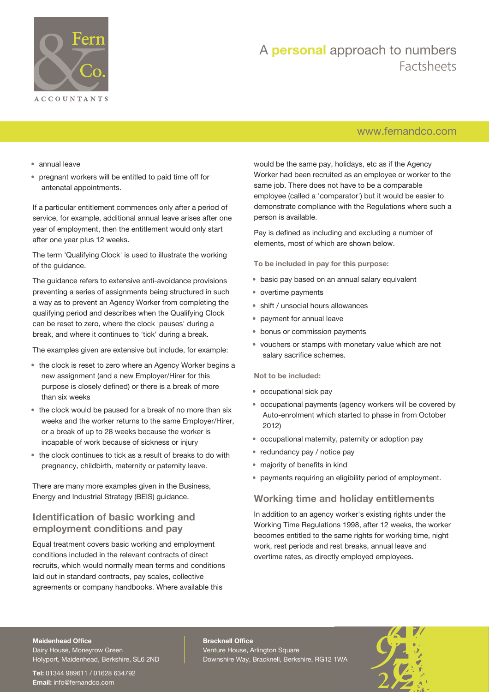

### [www.fernandco.com](http://www.fernandco.com)

- annual leave
- pregnant workers will be entitled to paid time off for antenatal appointments.

If a particular entitlement commences only after a period of service, for example, additional annual leave arises after one year of employment, then the entitlement would only start after one year plus 12 weeks.

The term 'Qualifying Clock' is used to illustrate the working of the guidance.

The guidance refers to extensive anti-avoidance provisions preventing a series of assignments being structured in such a way as to prevent an Agency Worker from completing the qualifying period and describes when the Qualifying Clock can be reset to zero, where the clock 'pauses' during a break, and where it continues to 'tick' during a break.

The examples given are extensive but include, for example:

- the clock is reset to zero where an Agency Worker begins a new assignment (and a new Employer/Hirer for this purpose is closely defined) or there is a break of more than six weeks
- the clock would be paused for a break of no more than six weeks and the worker returns to the same Employer/Hirer, or a break of up to 28 weeks because the worker is incapable of work because of sickness or injury
- the clock continues to tick as a result of breaks to do with pregnancy, childbirth, maternity or paternity leave.

There are many more examples given in the Business, Energy and Industrial Strategy (BEIS) guidance.

### **Identification of basic working and employment conditions and pay**

Equal treatment covers basic working and employment conditions included in the relevant contracts of direct recruits, which would normally mean terms and conditions laid out in standard contracts, pay scales, collective agreements or company handbooks. Where available this

would be the same pay, holidays, etc as if the Agency Worker had been recruited as an employee or worker to the same job. There does not have to be a comparable employee (called a 'comparator') but it would be easier to demonstrate compliance with the Regulations where such a person is available.

Pay is defined as including and excluding a number of elements, most of which are shown below.

**To be included in pay for this purpose:**

- basic pay based on an annual salary equivalent
- overtime payments
- shift / unsocial hours allowances
- payment for annual leave
- bonus or commission payments
- vouchers or stamps with monetary value which are not salary sacrifice schemes.

**Not to be included:**

- occupational sick pay
- occupational payments (agency workers will be covered by Auto-enrolment which started to phase in from October 2012)
- occupational maternity, paternity or adoption pay
- redundancy pay / notice pay
- majority of benefits in kind
- payments requiring an eligibility period of employment.

### **Working time and holiday entitlements**

In addition to an agency worker's existing rights under the Working Time Regulations 1998, after 12 weeks, the worker becomes entitled to the same rights for working time, night work, rest periods and rest breaks, annual leave and overtime rates, as directly employed employees.

#### **Maidenhead Office**

Dairy House, Moneyrow Green Holyport, Maidenhead, Berkshire, SL6 2ND

**Tel:** 01344 989611 / 01628 634792 **Email:** [info@fernandco.com](mailto:info@fernandco.com)

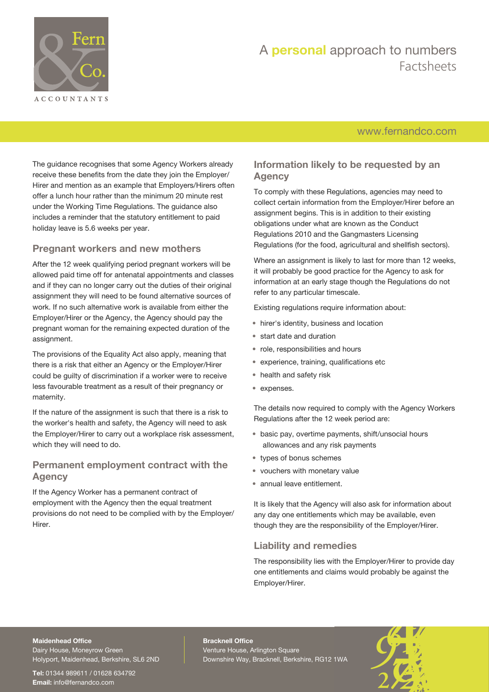

### [www.fernandco.com](http://www.fernandco.com)

The guidance recognises that some Agency Workers already receive these benefits from the date they join the Employer/ Hirer and mention as an example that Employers/Hirers often offer a lunch hour rather than the minimum 20 minute rest under the Working Time Regulations. The guidance also includes a reminder that the statutory entitlement to paid holiday leave is 5.6 weeks per year.

### **Pregnant workers and new mothers**

After the 12 week qualifying period pregnant workers will be allowed paid time off for antenatal appointments and classes and if they can no longer carry out the duties of their original assignment they will need to be found alternative sources of work. If no such alternative work is available from either the Employer/Hirer or the Agency, the Agency should pay the pregnant woman for the remaining expected duration of the assignment.

The provisions of the Equality Act also apply, meaning that there is a risk that either an Agency or the Employer/Hirer could be guilty of discrimination if a worker were to receive less favourable treatment as a result of their pregnancy or maternity.

If the nature of the assignment is such that there is a risk to the worker's health and safety, the Agency will need to ask the Employer/Hirer to carry out a workplace risk assessment, which they will need to do.

### **Permanent employment contract with the Agency**

If the Agency Worker has a permanent contract of employment with the Agency then the equal treatment provisions do not need to be complied with by the Employer/ Hirer.

### **Information likely to be requested by an Agency**

To comply with these Regulations, agencies may need to collect certain information from the Employer/Hirer before an assignment begins. This is in addition to their existing obligations under what are known as the Conduct Regulations 2010 and the Gangmasters Licensing Regulations (for the food, agricultural and shellfish sectors).

Where an assignment is likely to last for more than 12 weeks, it will probably be good practice for the Agency to ask for information at an early stage though the Regulations do not refer to any particular timescale.

Existing regulations require information about:

- hirer's identity, business and location
- start date and duration
- role, responsibilities and hours
- experience, training, qualifications etc
- health and safety risk
- expenses.

The details now required to comply with the Agency Workers Regulations after the 12 week period are:

- basic pay, overtime payments, shift/unsocial hours allowances and any risk payments
- types of bonus schemes
- vouchers with monetary value
- annual leave entitlement.

It is likely that the Agency will also ask for information about any day one entitlements which may be available, even though they are the responsibility of the Employer/Hirer.

### **Liability and remedies**

The responsibility lies with the Employer/Hirer to provide day one entitlements and claims would probably be against the Employer/Hirer.

### **Maidenhead Office**

Dairy House, Moneyrow Green Holyport, Maidenhead, Berkshire, SL6 2ND

**Tel:** 01344 989611 / 01628 634792 **Email:** [info@fernandco.com](mailto:info@fernandco.com)